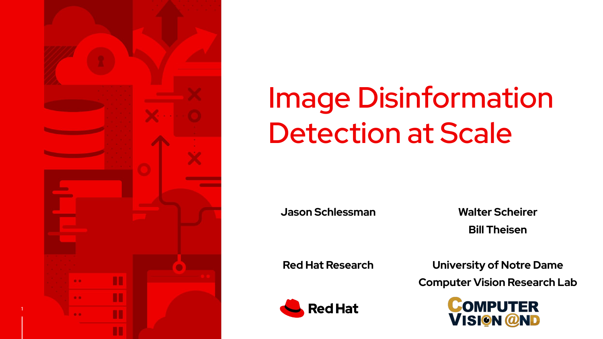

1

# Image Disinformation Detection at Scale

**Jason Schlessman**

**Walter Scheirer Bill Theisen**

**Red Hat Research**

**University of Notre Dame**

**Computer Vision Research Lab**



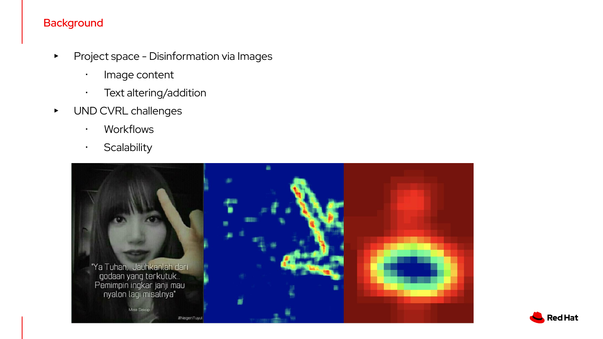## **Background**

- ▸ Project space Disinformation via Images
	- ・ Image content
	- ・ Text altering/addition
- ▸ UND CVRL challenges
	- ・ Workflows
	- ・ Scalability



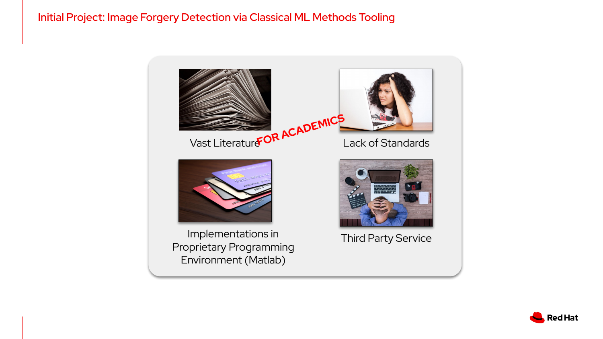#### Initial Project: Image Forgery Detection via Classical ML Methods Tooling



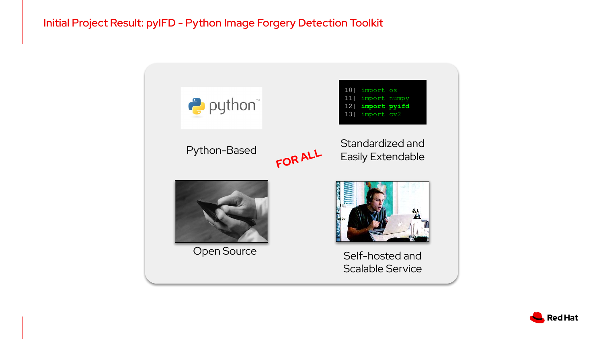## Initial Project Result: pyIFD - Python Image Forgery Detection Toolkit



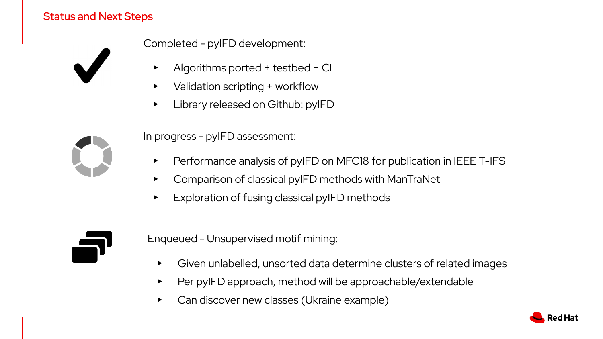### Status and Next Steps



Completed - pyIFD development:

- ▸ Algorithms ported + testbed + CI
- ▸ Validation scripting + workflow
- ▸ Library released on Github: pyIFD

In progress - pyIFD assessment:

- Performance analysis of pyIFD on MFC18 for publication in IEEE T-IFS
- ▸ Comparison of classical pyIFD methods with ManTraNet
- Exploration of fusing classical pyIFD methods



Enqueued - Unsupervised motif mining:

- ▸ Given unlabelled, unsorted data determine clusters of related images
- ▸ Per pyIFD approach, method will be approachable/extendable
- ▸ Can discover new classes (Ukraine example)